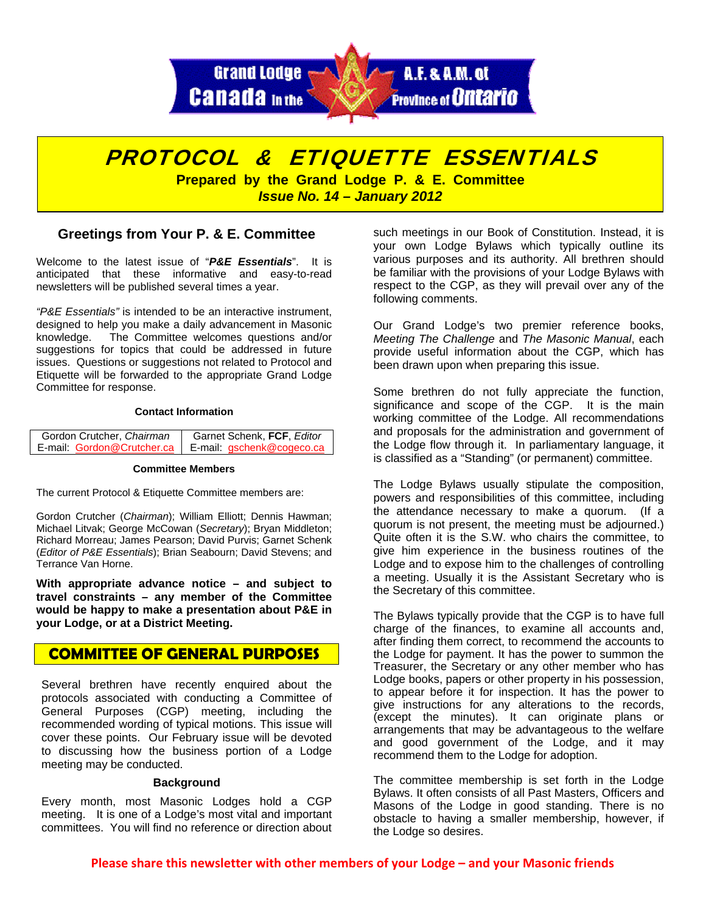



# **Greetings from Your P. & E. Committee**

Welcome to the latest issue of "*P&E Essentials*". It is anticipated that these informative and easy-to-read newsletters will be published several times a year.

*"P&E Essentials"* is intended to be an interactive instrument, designed to help you make a daily advancement in Masonic knowledge. The Committee welcomes questions and/or suggestions for topics that could be addressed in future issues. Questions or suggestions not related to Protocol and Etiquette will be forwarded to the appropriate Grand Lodge Committee for response.

### **Contact Information**

| Gordon Crutcher, Chairman | Garnet Schenk, FCF, Editor                             |
|---------------------------|--------------------------------------------------------|
|                           | E-mail: Gordon@Crutcher.ca   E-mail: gschenk@cogeco.ca |

#### **Committee Members**

The current Protocol & Etiquette Committee members are:

Gordon Crutcher (*Chairman*); William Elliott; Dennis Hawman; Michael Litvak; George McCowan (*Secretary*); Bryan Middleton; Richard Morreau; James Pearson; David Purvis; Garnet Schenk (*Editor of P&E Essentials*); Brian Seabourn; David Stevens; and Terrance Van Horne.

**With appropriate advance notice – and subject to travel constraints – any member of the Committee would be happy to make a presentation about P&E in your Lodge, or at a District Meeting.** 

# **COMMITTEE OF GENERAL PURPOSES**

Several brethren have recently enquired about the protocols associated with conducting a Committee of General Purposes (CGP) meeting, including the recommended wording of typical motions. This issue will cover these points. Our February issue will be devoted to discussing how the business portion of a Lodge meeting may be conducted.

## **Background**

Every month, most Masonic Lodges hold a CGP meeting. It is one of a Lodge's most vital and important committees. You will find no reference or direction about

such meetings in our Book of Constitution. Instead, it is your own Lodge Bylaws which typically outline its various purposes and its authority. All brethren should be familiar with the provisions of your Lodge Bylaws with respect to the CGP, as they will prevail over any of the following comments.

Our Grand Lodge's two premier reference books, *Meeting The Challenge* and *The Masonic Manual*, each provide useful information about the CGP, which has been drawn upon when preparing this issue.

Some brethren do not fully appreciate the function, significance and scope of the CGP. It is the main working committee of the Lodge. All recommendations and proposals for the administration and government of the Lodge flow through it. In parliamentary language, it is classified as a "Standing" (or permanent) committee.

The Lodge Bylaws usually stipulate the composition, powers and responsibilities of this committee, including the attendance necessary to make a quorum. (If a quorum is not present, the meeting must be adjourned.) Quite often it is the S.W. who chairs the committee, to give him experience in the business routines of the Lodge and to expose him to the challenges of controlling a meeting. Usually it is the Assistant Secretary who is the Secretary of this committee.

The Bylaws typically provide that the CGP is to have full charge of the finances, to examine all accounts and, after finding them correct, to recommend the accounts to the Lodge for payment. It has the power to summon the Treasurer, the Secretary or any other member who has Lodge books, papers or other property in his possession, to appear before it for inspection. It has the power to give instructions for any alterations to the records, (except the minutes). It can originate plans or arrangements that may be advantageous to the welfare and good government of the Lodge, and it may recommend them to the Lodge for adoption.

The committee membership is set forth in the Lodge Bylaws. It often consists of all Past Masters, Officers and Masons of the Lodge in good standing. There is no obstacle to having a smaller membership, however, if the Lodge so desires.